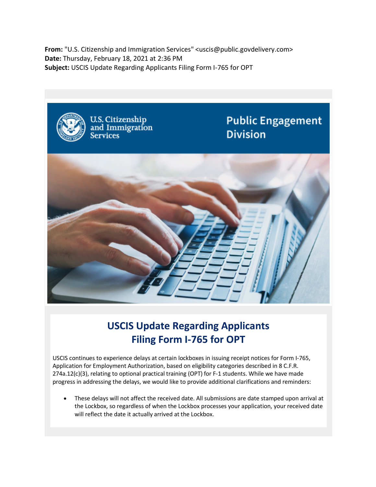**From:** "U.S. Citizenship and Immigration Services" <uscis@public.govdelivery.com> **Date:** Thursday, February 18, 2021 at 2:36 PM **Subject:** USCIS Update Regarding Applicants Filing Form I-765 for OPT



## **USCIS Update Regarding Applicants Filing Form I-765 for OPT**

USCIS continues to experience delays at certain lockboxes in issuing receipt notices for Form I-765, Application for Employment Authorization, based on eligibility categories described in 8 C.F.R. 274a.12(c)(3), relating to optional practical training (OPT) for F-1 students. While we have made progress in addressing the delays, we would like to provide additional clarifications and reminders:

• These delays will not affect the received date. All submissions are date stamped upon arrival at the Lockbox, so regardless of when the Lockbox processes your application, your received date will reflect the date it actually arrived at the Lockbox.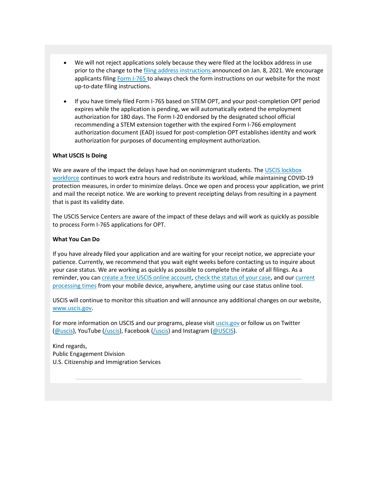- We will not reject applications solely because they were filed at the lockbox address in use prior to the change to the filing address instructions announced on Jan. 8, 2021. We encourage applicants filing Form I-765 to always check the form instructions on our website for the most up-to-date filing instructions.
- If you have timely filed Form I-765 based on STEM OPT, and your post-completion OPT period expires while the application is pending, we will automatically extend the employment authorization for 180 days. The Form I-20 endorsed by the designated school official recommending a STEM extension together with the expired Form I-766 employment authorization document (EAD) issued for post-completion OPT establishes identity and work authorization for purposes of documenting employment authorization.

## **What USCIS Is Doing**

We are aware of the impact the delays have had on nonimmigrant students. The USCIS lockbox workforce continues to work extra hours and redistribute its workload, while maintaining COVID-19 protection measures, in order to minimize delays. Once we open and process your application, we print and mail the receipt notice. We are working to prevent receipting delays from resulting in a payment that is past its validity date.

The USCIS Service Centers are aware of the impact of these delays and will work as quickly as possible to process Form I-765 applications for OPT.

## **What You Can Do**

If you have already filed your application and are waiting for your receipt notice, we appreciate your patience. Currently, we recommend that you wait eight weeks before contacting us to inquire about your case status. We are working as quickly as possible to complete the intake of all filings. As a reminder, you can create a free USCIS online account, check the status of your case, and our current processing times from your mobile device, anywhere, anytime using our case status online tool.

USCIS will continue to monitor this situation and will announce any additional changes on our website, www.uscis.gov.

For more information on USCIS and our programs, please visit uscis.gov or follow us on Twitter (@uscis), YouTube (/uscis), Facebook (/uscis) and Instagram (@USCIS).

Kind regards, Public Engagement Division U.S. Citizenship and Immigration Services